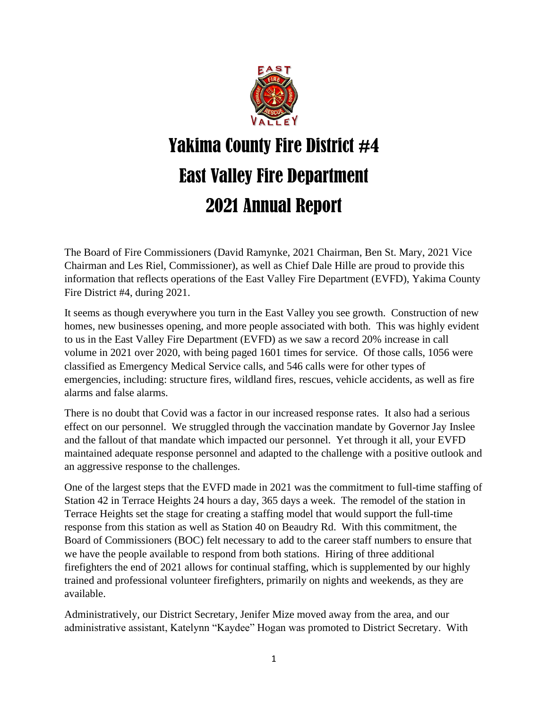

# Yakima County Fire District #4 East Valley Fire Department 2021 Annual Report

The Board of Fire Commissioners (David Ramynke, 2021 Chairman, Ben St. Mary, 2021 Vice Chairman and Les Riel, Commissioner), as well as Chief Dale Hille are proud to provide this information that reflects operations of the East Valley Fire Department (EVFD), Yakima County Fire District #4, during 2021.

It seems as though everywhere you turn in the East Valley you see growth. Construction of new homes, new businesses opening, and more people associated with both. This was highly evident to us in the East Valley Fire Department (EVFD) as we saw a record 20% increase in call volume in 2021 over 2020, with being paged 1601 times for service. Of those calls, 1056 were classified as Emergency Medical Service calls, and 546 calls were for other types of emergencies, including: structure fires, wildland fires, rescues, vehicle accidents, as well as fire alarms and false alarms.

There is no doubt that Covid was a factor in our increased response rates. It also had a serious effect on our personnel. We struggled through the vaccination mandate by Governor Jay Inslee and the fallout of that mandate which impacted our personnel. Yet through it all, your EVFD maintained adequate response personnel and adapted to the challenge with a positive outlook and an aggressive response to the challenges.

One of the largest steps that the EVFD made in 2021 was the commitment to full-time staffing of Station 42 in Terrace Heights 24 hours a day, 365 days a week. The remodel of the station in Terrace Heights set the stage for creating a staffing model that would support the full-time response from this station as well as Station 40 on Beaudry Rd. With this commitment, the Board of Commissioners (BOC) felt necessary to add to the career staff numbers to ensure that we have the people available to respond from both stations. Hiring of three additional firefighters the end of 2021 allows for continual staffing, which is supplemented by our highly trained and professional volunteer firefighters, primarily on nights and weekends, as they are available.

Administratively, our District Secretary, Jenifer Mize moved away from the area, and our administrative assistant, Katelynn "Kaydee" Hogan was promoted to District Secretary. With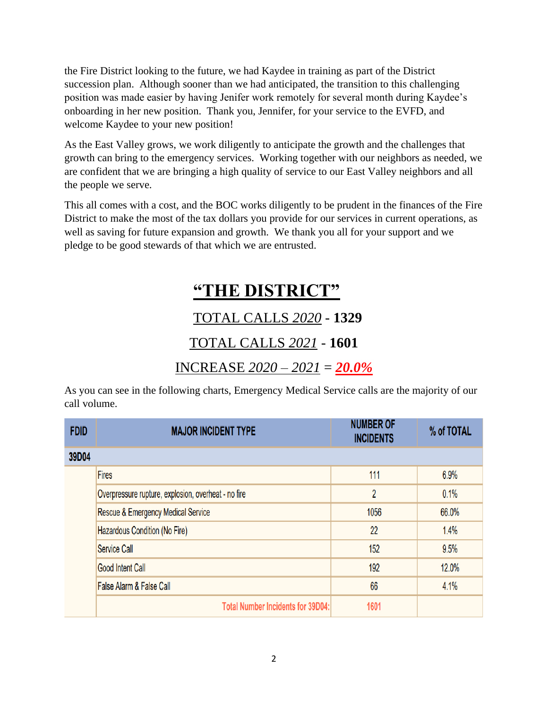the Fire District looking to the future, we had Kaydee in training as part of the District succession plan. Although sooner than we had anticipated, the transition to this challenging position was made easier by having Jenifer work remotely for several month during Kaydee's onboarding in her new position. Thank you, Jennifer, for your service to the EVFD, and welcome Kaydee to your new position!

As the East Valley grows, we work diligently to anticipate the growth and the challenges that growth can bring to the emergency services. Working together with our neighbors as needed, we are confident that we are bringing a high quality of service to our East Valley neighbors and all the people we serve.

This all comes with a cost, and the BOC works diligently to be prudent in the finances of the Fire District to make the most of the tax dollars you provide for our services in current operations, as well as saving for future expansion and growth. We thank you all for your support and we pledge to be good stewards of that which we are entrusted.

# **"THE DISTRICT"** TOTAL CALLS *2020* - **1329**

### TOTAL CALLS *2021* - **1601**

### INCREASE *2020 – 2021* = *20.0%*

As you can see in the following charts, Emergency Medical Service calls are the majority of our call volume.

| <b>FDID</b> | <b>MAJOR INCIDENT TYPE</b>                          | <b>NUMBER OF</b><br><b>INCIDENTS</b> | % of TOTAL |
|-------------|-----------------------------------------------------|--------------------------------------|------------|
| 39D04       |                                                     |                                      |            |
|             | <b>Fires</b>                                        | 111                                  | 6.9%       |
|             | Overpressure rupture, explosion, overheat - no fire | $\overline{2}$                       | 0.1%       |
|             | Rescue & Emergency Medical Service                  | 1056                                 | 66.0%      |
|             | Hazardous Condition (No Fire)                       | 22                                   | 1.4%       |
|             | <b>Service Call</b>                                 | 152                                  | 9.5%       |
|             | <b>Good Intent Call</b>                             | 192                                  | 12.0%      |
|             | <b>False Alarm &amp; False Call</b>                 | 66                                   | 4.1%       |
|             | <b>Total Number Incidents for 39D04:</b>            | 1601                                 |            |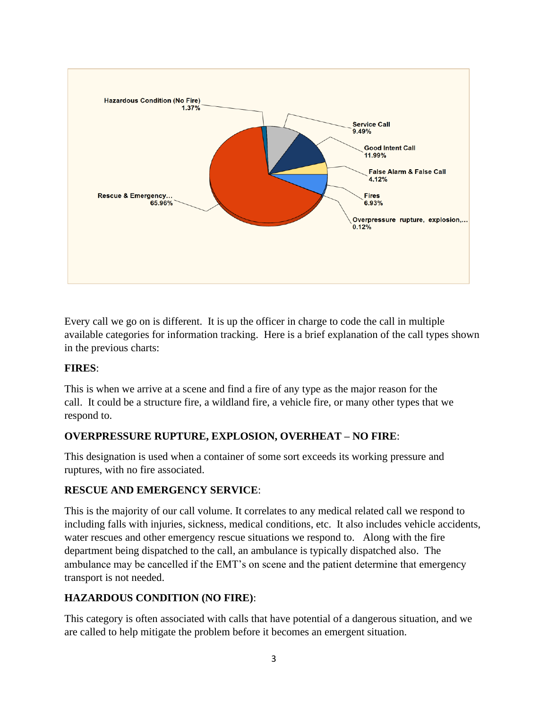

Every call we go on is different. It is up the officer in charge to code the call in multiple available categories for information tracking. Here is a brief explanation of the call types shown in the previous charts:

#### **FIRES**:

This is when we arrive at a scene and find a fire of any type as the major reason for the call. It could be a structure fire, a wildland fire, a vehicle fire, or many other types that we respond to.

#### **OVERPRESSURE RUPTURE, EXPLOSION, OVERHEAT – NO FIRE**:

This designation is used when a container of some sort exceeds its working pressure and ruptures, with no fire associated.

#### **RESCUE AND EMERGENCY SERVICE**:

This is the majority of our call volume. It correlates to any medical related call we respond to including falls with injuries, sickness, medical conditions, etc. It also includes vehicle accidents, water rescues and other emergency rescue situations we respond to. Along with the fire department being dispatched to the call, an ambulance is typically dispatched also. The ambulance may be cancelled if the EMT's on scene and the patient determine that emergency transport is not needed.

#### **HAZARDOUS CONDITION (NO FIRE)**:

This category is often associated with calls that have potential of a dangerous situation, and we are called to help mitigate the problem before it becomes an emergent situation.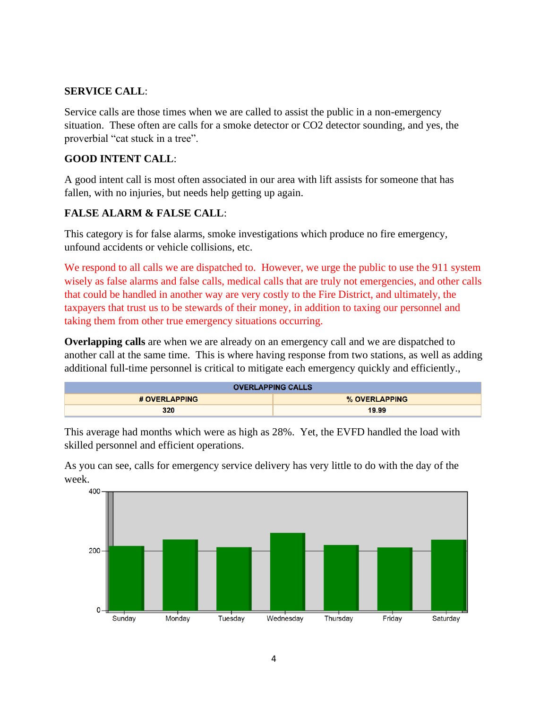#### **SERVICE CALL**:

Service calls are those times when we are called to assist the public in a non-emergency situation. These often are calls for a smoke detector or CO2 detector sounding, and yes, the proverbial "cat stuck in a tree".

#### **GOOD INTENT CALL**:

A good intent call is most often associated in our area with lift assists for someone that has fallen, with no injuries, but needs help getting up again.

#### **FALSE ALARM & FALSE CALL**:

This category is for false alarms, smoke investigations which produce no fire emergency, unfound accidents or vehicle collisions, etc.

We respond to all calls we are dispatched to. However, we urge the public to use the 911 system wisely as false alarms and false calls, medical calls that are truly not emergencies, and other calls that could be handled in another way are very costly to the Fire District, and ultimately, the taxpayers that trust us to be stewards of their money, in addition to taxing our personnel and taking them from other true emergency situations occurring.

**Overlapping calls** are when we are already on an emergency call and we are dispatched to another call at the same time. This is where having response from two stations, as well as adding additional full-time personnel is critical to mitigate each emergency quickly and efficiently.,

| <b>OVERLAPPING CALLS</b> |               |  |
|--------------------------|---------------|--|
| # OVERLAPPING            | % OVERLAPPING |  |
| 320                      | 19.99         |  |

This average had months which were as high as 28%. Yet, the EVFD handled the load with skilled personnel and efficient operations.



As you can see, calls for emergency service delivery has very little to do with the day of the week.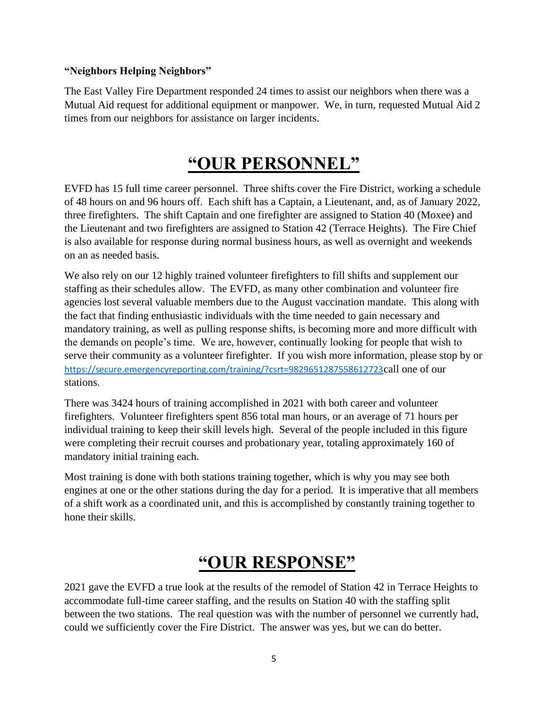#### **"Neighbors Helping Neighbors"**

The East Valley Fire Department responded 24 times to assist our neighbors when there was a Mutual Aid request for additional equipment or manpower. We, in turn, requested Mutual Aid 2 times from our neighbors for assistance on larger incidents.

### **"OUR PERSONNEL"**

EVFD has 15 full time career personnel. Three shifts cover the Fire District, working a schedule of 48 hours on and 96 hours off. Each shift has a Captain, a Lieutenant, and, as of January 2022, three firefighters. The shift Captain and one firefighter are assigned to Station 40 (Moxee) and the Lieutenant and two firefighters are assigned to Station 42 (Terrace Heights). The Fire Chief is also available for response during normal business hours, as well as overnight and weekends on an as needed basis.

We also rely on our 12 highly trained volunteer firefighters to fill shifts and supplement our staffing as their schedules allow. The EVFD, as many other combination and volunteer fire agencies lost several valuable members due to the August vaccination mandate. This along with the fact that finding enthusiastic individuals with the time needed to gain necessary and mandatory training, as well as pulling response shifts, is becoming more and more difficult with the demands on people's time. We are, however, continually looking for people that wish to serve their community as a volunteer firefighter. If you wish more information, please stop by or <https://secure.emergencyreporting.com/training/?csrt=9829651287558612723>call one of our stations.

There was 3424 hours of training accomplished in 2021 with both career and volunteer firefighters. Volunteer firefighters spent 856 total man hours, or an average of 71 hours per individual training to keep their skill levels high. Several of the people included in this figure were completing their recruit courses and probationary year, totaling approximately 160 of mandatory initial training each.

Most training is done with both stations training together, which is why you may see both engines at one or the other stations during the day for a period. It is imperative that all members of a shift work as a coordinated unit, and this is accomplished by constantly training together to hone their skills.

# **"OUR RESPONSE"**

2021 gave the EVFD a true look at the results of the remodel of Station 42 in Terrace Heights to accommodate full-time career staffing, and the results on Station 40 with the staffing split between the two stations. The real question was with the number of personnel we currently had, could we sufficiently cover the Fire District. The answer was yes, but we can do better.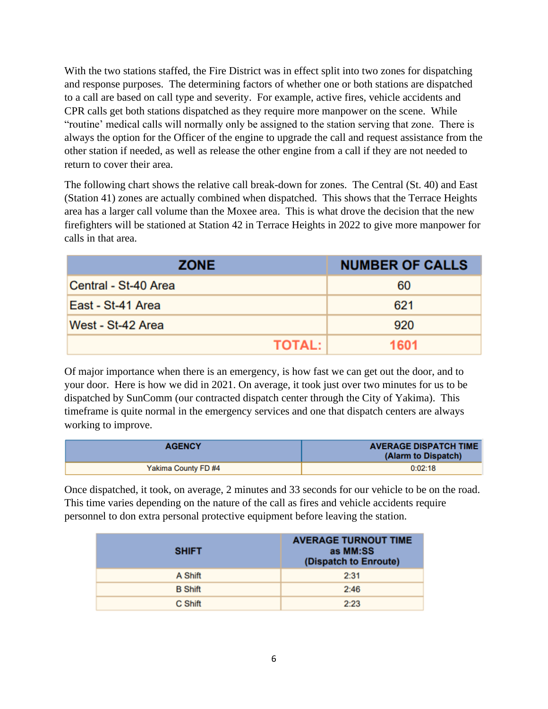With the two stations staffed, the Fire District was in effect split into two zones for dispatching and response purposes. The determining factors of whether one or both stations are dispatched to a call are based on call type and severity. For example, active fires, vehicle accidents and CPR calls get both stations dispatched as they require more manpower on the scene. While "routine' medical calls will normally only be assigned to the station serving that zone. There is always the option for the Officer of the engine to upgrade the call and request assistance from the other station if needed, as well as release the other engine from a call if they are not needed to return to cover their area.

The following chart shows the relative call break-down for zones. The Central (St. 40) and East (Station 41) zones are actually combined when dispatched. This shows that the Terrace Heights area has a larger call volume than the Moxee area. This is what drove the decision that the new firefighters will be stationed at Station 42 in Terrace Heights in 2022 to give more manpower for calls in that area.

| <b>ZONE</b>          | <b>NUMBER OF CALLS</b> |  |
|----------------------|------------------------|--|
| Central - St-40 Area | 60                     |  |
| East - St-41 Area    | 621                    |  |
| West - St-42 Area    | 920                    |  |
| <b>TOTAL:</b>        | 1601                   |  |

Of major importance when there is an emergency, is how fast we can get out the door, and to your door. Here is how we did in 2021. On average, it took just over two minutes for us to be dispatched by SunComm (our contracted dispatch center through the City of Yakima). This timeframe is quite normal in the emergency services and one that dispatch centers are always working to improve.

| <b>AGENCY</b>       | <b>AVERAGE DISPATCH TIME</b><br>(Alarm to Dispatch) |
|---------------------|-----------------------------------------------------|
| Yakima County FD #4 | 0:02:18                                             |

Once dispatched, it took, on average, 2 minutes and 33 seconds for our vehicle to be on the road. This time varies depending on the nature of the call as fires and vehicle accidents require personnel to don extra personal protective equipment before leaving the station.

| <b>SHIFT</b>   | <b>AVERAGE TURNOUT TIME</b><br>as MM:SS<br>(Dispatch to Enroute) |
|----------------|------------------------------------------------------------------|
| A Shift        | 2:31                                                             |
| <b>B</b> Shift | 2:46                                                             |
| C Shift        | 2:23                                                             |